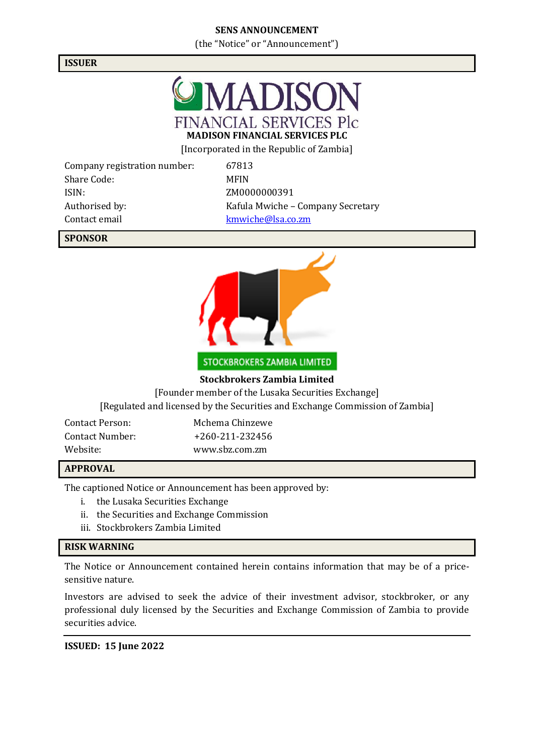# **SENS ANNOUNCEMENT**

(the "Notice" or "Announcement")

## **ISSUER**



[Incorporated in the Republic of Zambia]

Company registration number: 67813 Share Code: MFIN ISIN: ZM0000000391 Contact email [kmwiche@lsa.co.zm](mailto:kmwiche@lsa.co.zm)

Authorised by: Kafula Mwiche – Company Secretary

# **SPONSOR**



STOCKBROKERS ZAMBIA LIMITED

### **Stockbrokers Zambia Limited**

[Founder member of the Lusaka Securities Exchange]

[Regulated and licensed by the Securities and Exchange Commission of Zambia]

| Contact Person: | Mchema Chinzewe |
|-----------------|-----------------|
| Contact Number: | +260-211-232456 |
| Website:        | www.sbz.com.zm  |

#### **APPROVAL**

The captioned Notice or Announcement has been approved by:

- i. the Lusaka Securities Exchange
- ii. the Securities and Exchange Commission
- iii. Stockbrokers Zambia Limited

#### **RISK WARNING**

The Notice or Announcement contained herein contains information that may be of a pricesensitive nature.

Investors are advised to seek the advice of their investment advisor, stockbroker, or any professional duly licensed by the Securities and Exchange Commission of Zambia to provide securities advice.

#### **ISSUED: 15 June 2022**